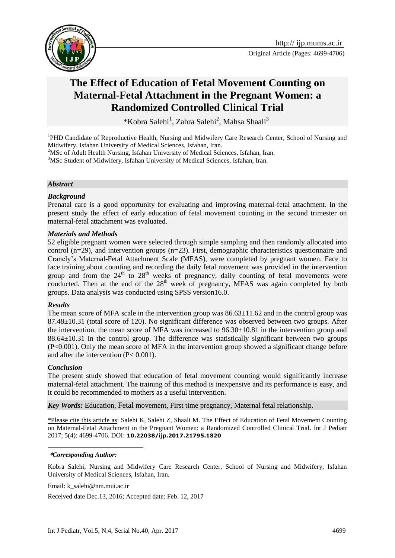



# **The Effect of Education of Fetal Movement Counting on Maternal-Fetal Attachment in the Pregnant Women: a Randomized Controlled Clinical Trial**

\*Kobra Salehi<sup>1</sup>, Zahra Salehi<sup>2</sup>, Mahsa Shaali<sup>3</sup>

<sup>1</sup>PHD Candidate of Reproductive Health, Nursing and Midwifery Care Research Center, School of Nursing and Midwifery, Isfahan University of Medical Sciences, Isfahan, Iran.

<sup>2</sup>MSc of Adult Health Nursing, Isfahan University of Medical Sciences, Isfahan, Iran.

<sup>3</sup>MSc Student of Midwifery, Isfahan University of Medical Sciences, Isfahan, Iran.

#### *Abstract*

#### *Background*

Prenatal care is a good opportunity for evaluating and improving maternal-fetal attachment. In the present study the effect of early education of fetal movement counting in the second trimester on maternal-fetal attachment was evaluated.

#### *Materials and Methods*

52 eligible pregnant women were selected through simple sampling and then randomly allocated into control ( $n=29$ ), and intervention groups ( $n=23$ ). First, demographic characteristics questionnaire and Cranely's Maternal-Fetal Attachment Scale (MFAS), were completed by pregnant women. Face to face training about counting and recording the daily fetal movement was provided in the intervention group and from the  $24<sup>th</sup>$  to  $28<sup>th</sup>$  weeks of pregnancy, daily counting of fetal movements were conducted. Then at the end of the  $28<sup>th</sup>$  week of pregnancy, MFAS was again completed by both groups. Data analysis was conducted using SPSS version16.0.

#### *Results*

The mean score of MFA scale in the intervention group was  $86.63\pm11.62$  and in the control group was 87.48±10.31 (total score of 120). No significant difference was observed between two groups. After the intervention, the mean score of MFA was increased to 96.30±10.81 in the intervention group and 88.64±10.31 in the control group. The difference was statistically significant between two groups (P<0.001). Only the mean score of MFA in the intervention group showed a significant change before and after the intervention (P< 0.001).

#### *Conclusion*

1

The present study showed that education of fetal movement counting would significantly increase maternal-fetal attachment. The training of this method is inexpensive and its performance is easy, and it could be recommended to mothers as a useful intervention.

*Key Words:* Education, Fetal movement, First time pregnancy, Maternal fetal relationship.

\*Please cite this article as: Salehi K, Salehi Z, Shaali M. The Effect of Education of Fetal Movement Counting on Maternal-Fetal Attachment in the Pregnant Women: a Randomized Controlled Clinical Trial. Int J Pediatr 2017; 5(4): 4699-4706. DOI: **10.22038/ijp.2017.21795.1820**

#### **\****Corresponding Author:*

Kobra Salehi, Nursing and Midwifery Care Research Center, School of Nursing and Midwifery, Isfahan University of Medical Sciences, Isfahan, Iran.

Email: k\_salehi@nm.mui.ac.ir

Received date Dec.13, 2016; Accepted date: Feb. 12, 2017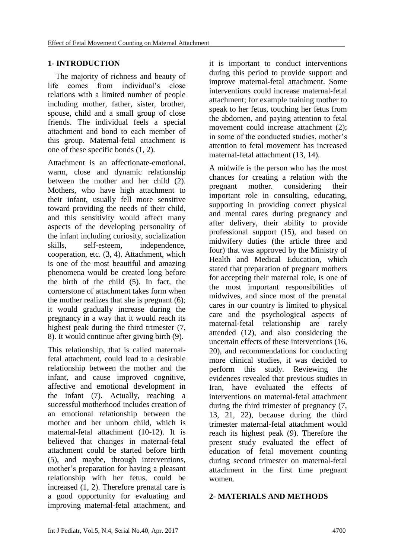# **1- INTRODUCTION**

 The majority of richness and beauty of life comes from individual's close relations with a limited number of people including mother, father, sister, brother, spouse, child and a small group of close friends. The individual feels a special attachment and bond to each member of this group. Maternal-fetal attachment is one of these specific bonds (1, 2).

Attachment is an affectionate-emotional, warm, close and dynamic relationship between the mother and her child (2). Mothers, who have high attachment to their infant, usually fell more sensitive toward providing the needs of their child, and this sensitivity would affect many aspects of the developing personality of the infant including curiosity, socialization skills, self-esteem, independence, cooperation, etc. (3, 4). Attachment, which is one of the most beautiful and amazing phenomena would be created long before the birth of the child (5). In fact, the cornerstone of attachment takes form when the mother realizes that she is pregnant (6); it would gradually increase during the pregnancy in a way that it would reach its highest peak during the third trimester (7, 8). It would continue after giving birth (9).

This relationship, that is called maternalfetal attachment, could lead to a desirable relationship between the mother and the infant, and cause improved cognitive, affective and emotional development in the infant (7). Actually, reaching a successful motherhood includes creation of an emotional relationship between the mother and her unborn child, which is maternal-fetal attachment (10-12). It is believed that changes in maternal-fetal attachment could be started before birth (5), and maybe, through interventions, mother's preparation for having a pleasant relationship with her fetus, could be increased (1, 2). Therefore prenatal care is a good opportunity for evaluating and improving maternal-fetal attachment, and it is important to conduct interventions during this period to provide support and improve maternal-fetal attachment. Some interventions could increase maternal-fetal attachment; for example training mother to speak to her fetus, touching her fetus from the abdomen, and paying attention to fetal movement could increase attachment (2); in some of the conducted studies, mother's attention to fetal movement has increased maternal-fetal attachment (13, 14).

A midwife is the person who has the most chances for creating a relation with the pregnant mother. considering their important role in consulting, educating, supporting in providing correct physical and mental cares during pregnancy and after delivery, their ability to provide professional support (15), and based on midwifery duties (the article three and four) that was approved by the Ministry of Health and Medical Education, which stated that preparation of pregnant mothers for accepting their maternal role, is one of the most important responsibilities of midwives, and since most of the prenatal cares in our country is limited to physical care and the psychological aspects of maternal-fetal relationship are rarely attended (12), and also considering the uncertain effects of these interventions (16, 20), and recommendations for conducting more clinical studies, it was decided to perform this study. Reviewing the evidences revealed that previous studies in Iran, have evaluated the effects of interventions on maternal-fetal attachment during the third trimester of pregnancy (7, 13, 21, 22), because during the third trimester maternal-fetal attachment would reach its highest peak (9). Therefore the present study evaluated the effect of education of fetal movement counting during second trimester on maternal-fetal attachment in the first time pregnant women.

#### **2- MATERIALS AND METHODS**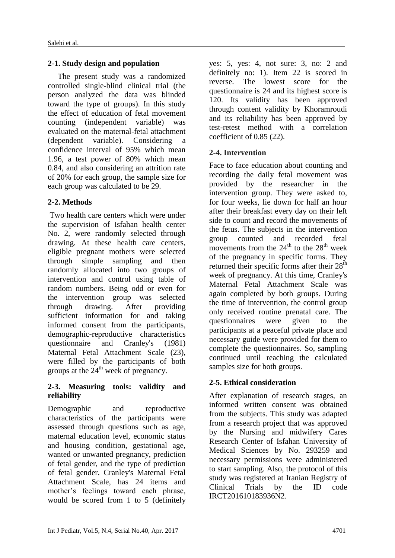# **2-1. Study design and population**

 The present study was a randomized controlled single-blind clinical trial (the person analyzed the data was blinded toward the type of groups). In this study the effect of education of fetal movement counting (independent variable) was evaluated on the maternal-fetal attachment (dependent variable). Considering a confidence interval of 95% which mean 1.96, a test power of 80% which mean 0.84, and also considering an attrition rate of 20% for each group, the sample size for each group was calculated to be 29.

# **2-2. Methods**

Two health care centers which were under the supervision of Isfahan health center No. 2, were randomly selected through drawing. At these health care centers, eligible pregnant mothers were selected through simple sampling and then randomly allocated into two groups of intervention and control using table of random numbers. Being odd or even for the intervention group was selected through drawing. After providing sufficient information for and taking informed consent from the participants, demographic-reproductive characteristics questionnaire and Cranley's (1981) Maternal Fetal Attachment Scale (23), were filled by the participants of both groups at the  $24<sup>th</sup>$  week of pregnancy.

### **2-3. Measuring tools: validity and reliability**

Demographic and reproductive characteristics of the participants were assessed through questions such as age, maternal education level, economic status and housing condition, gestational age, wanted or unwanted pregnancy, prediction of fetal gender, and the type of prediction of fetal gender. Cranley's Maternal Fetal Attachment Scale, has 24 items and mother's feelings toward each phrase, would be scored from 1 to 5 (definitely yes: 5, yes: 4, not sure: 3, no: 2 and definitely no: 1). Item 22 is scored in reverse. The lowest score for the questionnaire is 24 and its highest score is 120. Its validity has been approved through content validity by Khoramroudi and its reliability has been approved by test-retest method with a correlation coefficient of 0.85 (22).

# **2-4. Intervention**

Face to face education about counting and recording the daily fetal movement was provided by the researcher in the intervention group. They were asked to, for four weeks, lie down for half an hour after their breakfast every day on their left side to count and record the movements of the fetus. The subjects in the intervention group counted and recorded fetal movements from the  $24<sup>th</sup>$  to the  $28<sup>th</sup>$  week of the pregnancy in specific forms. They returned their specific forms after their  $28<sup>th</sup>$ week of pregnancy. At this time, Cranley's Maternal Fetal Attachment Scale was again completed by both groups. During the time of intervention, the control group only received routine prenatal care. The questionnaires were given to the participants at a peaceful private place and necessary guide were provided for them to complete the questionnaires. So, sampling continued until reaching the calculated samples size for both groups.

# **2-5. Ethical consideration**

After explanation of research stages, an informed written consent was obtained from the subjects. This study was adapted from a research project that was approved by the Nursing and midwifery Cares Research Center of Isfahan University of Medical Sciences by No. 293259 and necessary permissions were administered to start sampling. Also, the protocol of this study was registered at Iranian Registry of Clinical Trials by the ID code IRCT201610183936N2.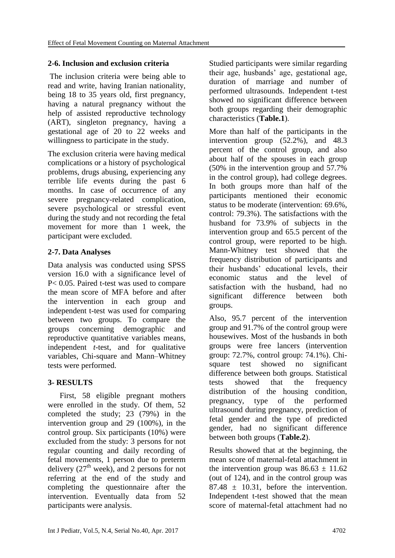### **2-6. Inclusion and exclusion criteria**

The inclusion criteria were being able to read and write, having Iranian nationality, being 18 to 35 years old, first pregnancy, having a natural pregnancy without the help of assisted reproductive technology (ART), singleton pregnancy, having a gestational age of 20 to 22 weeks and willingness to participate in the study.

The exclusion criteria were having medical complications or a history of psychological problems, drugs abusing, experiencing any terrible life events during the past 6 months. In case of occurrence of any severe pregnancy-related complication, severe psychological or stressful event during the study and not recording the fetal movement for more than 1 week, the participant were excluded.

# **2-7. Data Analyses**

Data analysis was conducted using SPSS version 16.0 with a significance level of P< 0.05. Paired t-test was used to compare the mean score of MFA before and after the intervention in each group and independent t-test was used for comparing between two groups. To compare the groups concerning demographic and reproductive quantitative variables means, independent *t*-test, and for qualitative variables, Chi-square and Mann–Whitney tests were performed.

# **3- RESULTS**

 First, 58 eligible pregnant mothers were enrolled in the study. Of them, 52 completed the study; 23 (79%) in the intervention group and 29 (100%), in the control group. Six participants (10%) were excluded from the study: 3 persons for not regular counting and daily recording of fetal movements, 1 person due to preterm delivery  $(27<sup>th</sup> week)$ , and 2 persons for not referring at the end of the study and completing the questionnaire after the intervention. Eventually data from 52 participants were analysis.

Studied participants were similar regarding their age, husbands' age, gestational age, duration of marriage and number of performed ultrasounds. Independent t-test showed no significant difference between both groups regarding their demographic characteristics (**Table.1**).

More than half of the participants in the intervention group (52.2%), and 48.3 percent of the control group, and also about half of the spouses in each group (50% in the intervention group and 57.7% in the control group), had college degrees. In both groups more than half of the participants mentioned their economic status to be moderate (intervention: 69.6%, control: 79.3%). The satisfactions with the husband for 73.9% of subjects in the intervention group and 65.5 percent of the control group, were reported to be high. Mann-Whitney test showed that the frequency distribution of participants and their husbands' educational levels, their economic status and the level of satisfaction with the husband, had no significant difference between both groups.

Also, 95.7 percent of the intervention group and 91.7% of the control group were housewives. Most of the husbands in both groups were free lancers (intervention group: 72.7%, control group: 74.1%). Chisquare test showed no significant difference between both groups. Statistical tests showed that the frequency distribution of the housing condition, pregnancy, type of the performed ultrasound during pregnancy, prediction of fetal gender and the type of predicted gender, had no significant difference between both groups (**Table.2**).

Results showed that at the beginning, the mean score of maternal-fetal attachment in the intervention group was  $86.63 \pm 11.62$ (out of 124), and in the control group was  $87.48 \pm 10.31$ , before the intervention. Independent t-test showed that the mean score of maternal-fetal attachment had no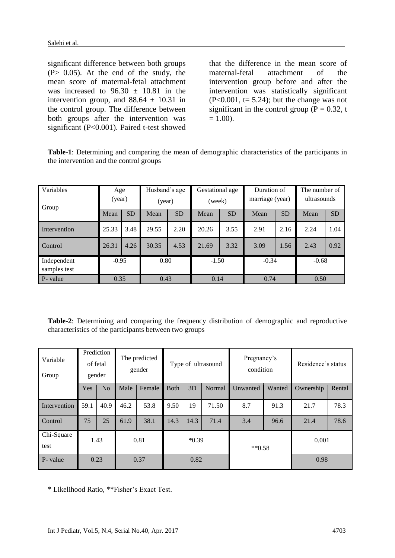significant difference between both groups  $(P> 0.05)$ . At the end of the study, the mean score of maternal-fetal attachment was increased to  $96.30 \pm 10.81$  in the intervention group, and  $88.64 \pm 10.31$  in the control group. The difference between both groups after the intervention was significant (P<0.001). Paired t-test showed

that the difference in the mean score of maternal-fetal attachment of the intervention group before and after the intervention was statistically significant  $(P<0.001$ , t= 5.24); but the change was not significant in the control group ( $P = 0.32$ , t  $= 1.00$ ).

**Table-1**: Determining and comparing the mean of demographic characteristics of the participants in the intervention and the control groups

| Variables<br>Group          | Age<br>(year) |           | Husband's age<br>(year) |           | Gestational age<br>(week) |           | Duration of<br>marriage (year) |           | The number of<br>ultrasounds |           |
|-----------------------------|---------------|-----------|-------------------------|-----------|---------------------------|-----------|--------------------------------|-----------|------------------------------|-----------|
|                             | Mean          | <b>SD</b> | Mean                    | <b>SD</b> | Mean                      | <b>SD</b> | Mean                           | <b>SD</b> | Mean                         | <b>SD</b> |
| Intervention                | 25.33         | 3.48      | 29.55                   | 2.20      | 20.26                     | 3.55      | 2.91                           | 2.16      | 2.24                         | 1.04      |
| Control                     | 26.31         | 4.26      | 30.35                   | 4.53      | 21.69                     | 3.32      | 3.09                           | 1.56      | 2.43                         | 0.92      |
| Independent<br>samples test | $-0.95$       |           | 0.80                    |           | $-1.50$                   |           | $-0.34$                        |           | $-0.68$                      |           |
| P- value                    | 0.35          |           | 0.43                    |           | 0.14                      |           | 0.74                           |           | 0.50                         |           |

**Table-2**: Determining and comparing the frequency distribution of demographic and reproductive characteristics of the participants between two groups

| Variable<br>Group  | Prediction<br>of fetal<br>gender |                | The predicted<br>gender |        | Type of ultrasound |      |        | Pregnancy's<br>condition |        | Residence's status |        |
|--------------------|----------------------------------|----------------|-------------------------|--------|--------------------|------|--------|--------------------------|--------|--------------------|--------|
|                    | Yes                              | N <sub>o</sub> | Male                    | Female | <b>B</b> oth       | 3D   | Normal | Unwanted                 | Wanted | Ownership          | Rental |
| Intervention       | 59.1                             | 40.9           | 46.2                    | 53.8   | 9.50               | 19   | 71.50  | 8.7                      | 91.3   | 21.7               | 78.3   |
| Control            | 75                               | 25             | 61.9                    | 38.1   | 14.3               | 14.3 | 71.4   | 3.4                      | 96.6   | 21.4               | 78.6   |
| Chi-Square<br>test | 1.43                             |                | 0.81                    |        | $*0.39$            |      |        | $**0.58$                 |        | 0.001              |        |
| P- value           | 0.23                             |                | 0.37                    |        | 0.82               |      |        |                          |        | 0.98               |        |

\* Likelihood Ratio, \*\*Fisher's Exact Test.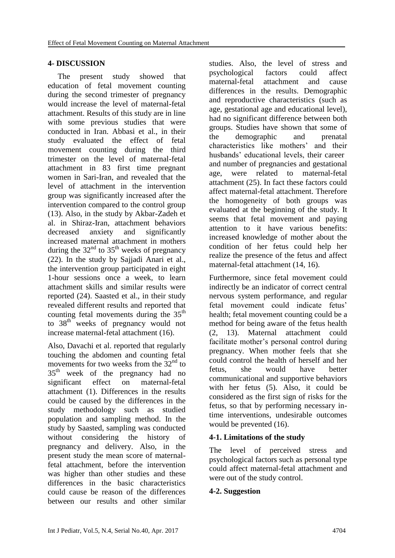### **4- DISCUSSION**

 The present study showed that education of fetal movement counting during the second trimester of pregnancy would increase the level of maternal-fetal attachment. Results of this study are in line with some previous studies that were conducted in Iran. Abbasi et al., in their study evaluated the effect of fetal movement counting during the third trimester on the level of maternal-fetal attachment in 83 first time pregnant women in Sari-Iran, and revealed that the level of attachment in the intervention group was significantly increased after the intervention compared to the control group (13). Also, in the study by Akbar-Zadeh et al. in Shiraz-Iran, attachment behaviors decreased anxiety and significantly increased maternal attachment in mothers during the  $32<sup>nd</sup>$  to  $35<sup>th</sup>$  weeks of pregnancy (22). In the study by Sajjadi Anari et al., the intervention group participated in eight 1-hour sessions once a week, to learn attachment skills and similar results were reported (24). Saasted et al., in their study revealed different results and reported that counting fetal movements during the  $35<sup>th</sup>$ to 38<sup>th</sup> weeks of pregnancy would not increase maternal-fetal attachment (16).

Also, Davachi et al. reported that regularly touching the abdomen and counting fetal movements for two weeks from the  $32<sup>nd</sup>$  to 35<sup>th</sup> week of the pregnancy had no significant effect on maternal-fetal attachment (1). Differences in the results could be caused by the differences in the study methodology such as studied population and sampling method. In the study by Saasted, sampling was conducted without considering the history of pregnancy and delivery. Also, in the present study the mean score of maternalfetal attachment, before the intervention was higher than other studies and these differences in the basic characteristics could cause be reason of the differences between our results and other similar

studies. Also, the level of stress and psychological factors could affect maternal-fetal attachment and cause differences in the results. Demographic and reproductive characteristics (such as age, gestational age and educational level), had no significant difference between both groups. Studies have shown that some of the demographic and prenatal characteristics like mothers' and their husbands' educational levels, their career and number of pregnancies and gestational age, were related to maternal-fetal attachment (25). In fact these factors could affect maternal-fetal attachment. Therefore the homogeneity of both groups was evaluated at the beginning of the study. It seems that fetal movement and paying attention to it have various benefits: increased knowledge of mother about the condition of her fetus could help her realize the presence of the fetus and affect maternal-fetal attachment (14, 16).

Furthermore, since fetal movement could indirectly be an indicator of correct central nervous system performance, and regular fetal movement could indicate fetus' health; fetal movement counting could be a method for being aware of the fetus health (2, 13). Maternal attachment could facilitate mother's personal control during pregnancy. When mother feels that she could control the health of herself and her fetus, she would have better communicational and supportive behaviors with her fetus (5). Also, it could be considered as the first sign of risks for the fetus, so that by performing necessary intime interventions, undesirable outcomes would be prevented (16).

# **4-1. Limitations of the study**

The level of perceived stress and psychological factors such as personal type could affect maternal-fetal attachment and were out of the study control.

# **4-2. Suggestion**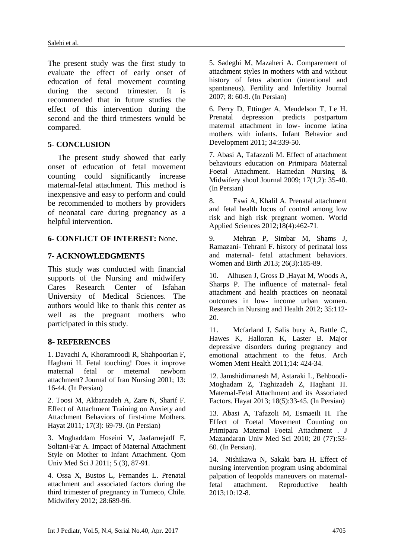The present study was the first study to evaluate the effect of early onset of education of fetal movement counting during the second trimester. It is recommended that in future studies the effect of this intervention during the second and the third trimesters would be compared.

#### **5- CONCLUSION**

 The present study showed that early onset of education of fetal movement counting could significantly increase maternal-fetal attachment. This method is inexpensive and easy to perform and could be recommended to mothers by providers of neonatal care during pregnancy as a helpful intervention.

#### **6- CONFLICT OF INTEREST:** None.

#### **7- ACKNOWLEDGMENTS**

This study was conducted with financial supports of the Nursing and midwifery Cares Research Center of Isfahan University of Medical Sciences. The authors would like to thank this center as well as the pregnant mothers who participated in this study.

#### **8- REFERENCES**

1. Davachi A, Khoramroodi R, Shahpoorian F, Haghani H. Fetal touching! Does it improve maternal fetal or meternal newborn attachment? Journal of Iran Nursing 2001; 13: 16-44. (In Persian)

2. Toosi M, Akbarzadeh A, Zare N, Sharif F. Effect of Attachment Training on Anxiety and Attachment Behaviors of first-time Mothers. Hayat 2011*;* 17(3): 69-79. (In Persian)

3. Moghaddam Hoseini V, Jaafarnejadf F, Soltani-Far A. Impact of Maternal Attachment Style on Mother to Infant Attachment. Qom Univ Med Sci J 2011; 5 (3), 87-91.

4. Ossa X, Bustos L, Fernandes L. Prenatal attachment and associated factors during the third trimester of pregnancy in Tumeco, Chile. Midwifery 2012; 28:689-96.

5. Sadeghi M, Mazaheri A. Comparement of attachment styles in mothers with and without history of fetus abortion (intentional and spantaneus). Fertility and Infertility Journal 2007; 8: 60-9. (In Persian)

6. Perry D, Ettinger A, Mendelson T, Le H. Prenatal depression predicts postpartum maternal attachment in low- income latina mothers with infants. Infant Behavior and Development 2011; 34:339-50.

7. Abasi A, Tafazzoli M. Effect of attachment behaviours education on Primipara Maternal Foetal Attachment. Hamedan Nursing & Midwifery shool Journal 2009; 17(1,2): 35-40. (In Persian)

8. Eswi A, Khalil A. Prenatal attachment and fetal health locus of control among low risk and high risk pregnant women. World Applied Sciences 2012;18(4):462-71.

9. Mehran P, Simbar M, Shams J, Ramazani- Tehrani F. history of perinatal loss and maternal- fetal attachment behaviors. Women and Birth 2013; 26(3):185-89.

10. Alhusen J, Gross D ,Hayat M, Woods A, Sharps P. The influence of maternal- fetal attachment and health practices on neonatal outcomes in low- income urban women. Research in Nursing and Health 2012; 35:112- 20.

11. Mcfarland J, Salis bury A, Battle C, Hawes K, Halloran K, Laster B. Major depressive disorders during pregnancy and emotional attachment to the fetus. Arch Women Ment Health 2011;14: 424-34.

12. Jamshidimanesh M, Astaraki L, Behboodi-Moghadam Z, Taghizadeh Z, Haghani H. Maternal-Fetal Attachment and its Associated Factors. Hayat 2013; 18(5):33-45. (In Persian)

13. Abasi A, Tafazoli M, Esmaeili H. The Effect of Foetal Movement Counting on Primipara Maternal Foetal Attachment *.* J Mazandaran Univ Med Sci 2010; 20 (77):53- 60. (In Persian).

14. Nishikawa N, Sakaki bara H. Effect of nursing intervention program using abdominal palpation of leopolds maneuvers on maternalfetal attachment. Reproductive health 2013;10:12-8.